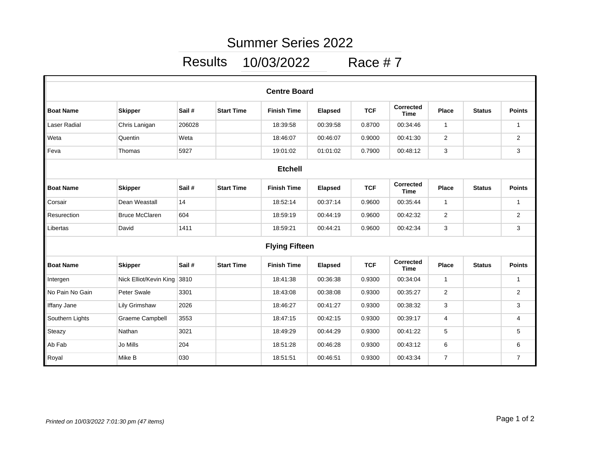## Summer Series 2022

Results 10/03/2022 Race # 7

|                    |                        |        |                   | <b>Centre Board</b>   |                |            |                          |                |               |                |
|--------------------|------------------------|--------|-------------------|-----------------------|----------------|------------|--------------------------|----------------|---------------|----------------|
| <b>Boat Name</b>   | <b>Skipper</b>         | Sail#  | <b>Start Time</b> | <b>Finish Time</b>    | <b>Elapsed</b> | <b>TCF</b> | Corrected<br><b>Time</b> | <b>Place</b>   | <b>Status</b> | <b>Points</b>  |
| Laser Radial       | Chris Lanigan          | 206028 |                   | 18:39:58              | 00:39:58       | 0.8700     | 00:34:46                 | $\mathbf 1$    |               | $\mathbf{1}$   |
| Weta               | Quentin                | Weta   |                   | 18:46:07              | 00:46:07       | 0.9000     | 00:41:30                 | $\overline{2}$ |               | $\overline{2}$ |
| Feva               | Thomas                 | 5927   |                   | 19:01:02              | 01:01:02       | 0.7900     | 00:48:12                 | 3              |               | 3              |
|                    |                        |        |                   | <b>Etchell</b>        |                |            |                          |                |               |                |
| <b>Boat Name</b>   | <b>Skipper</b>         | Sail#  | <b>Start Time</b> | <b>Finish Time</b>    | <b>Elapsed</b> | <b>TCF</b> | Corrected<br><b>Time</b> | <b>Place</b>   | <b>Status</b> | <b>Points</b>  |
| Corsair            | Dean Weastall          | 14     |                   | 18:52:14              | 00:37:14       | 0.9600     | 00:35:44                 | $\mathbf{1}$   |               | $\mathbf{1}$   |
| Resurection        | <b>Bruce McClaren</b>  | 604    |                   | 18:59:19              | 00:44:19       | 0.9600     | 00:42:32                 | $\mathbf{2}$   |               | $\mathbf{2}$   |
| Libertas           | David                  | 1411   |                   | 18:59:21              | 00:44:21       | 0.9600     | 00:42:34                 | 3              |               | 3              |
|                    |                        |        |                   | <b>Flying Fifteen</b> |                |            |                          |                |               |                |
| <b>Boat Name</b>   | <b>Skipper</b>         | Sail#  | <b>Start Time</b> | <b>Finish Time</b>    | <b>Elapsed</b> | <b>TCF</b> | <b>Corrected</b><br>Time | <b>Place</b>   | <b>Status</b> | <b>Points</b>  |
| Intergen           | Nick Elliot/Kevin King | 3810   |                   | 18:41:38              | 00:36:38       | 0.9300     | 00:34:04                 | $\mathbf{1}$   |               | $\mathbf{1}$   |
| No Pain No Gain    | Peter Swale            | 3301   |                   | 18:43:08              | 00:38:08       | 0.9300     | 00:35:27                 | $\overline{2}$ |               | $\mathbf{2}$   |
| <b>Iffany Jane</b> | Lily Grimshaw          | 2026   |                   | 18:46:27              | 00:41:27       | 0.9300     | 00:38:32                 | 3              |               | 3              |
| Southern Lights    | Graeme Campbell        | 3553   |                   | 18:47:15              | 00:42:15       | 0.9300     | 00:39:17                 | 4              |               | 4              |
| Steazy             | Nathan                 | 3021   |                   | 18:49:29              | 00:44:29       | 0.9300     | 00:41:22                 | 5              |               | 5              |
| Ab Fab             | Jo Mills               | 204    |                   | 18:51:28              | 00:46:28       | 0.9300     | 00:43:12                 | 6              |               | 6              |
| Royal              | Mike B                 | 030    |                   | 18:51:51              | 00:46:51       | 0.9300     | 00:43:34                 | $\overline{7}$ |               | $\overline{7}$ |